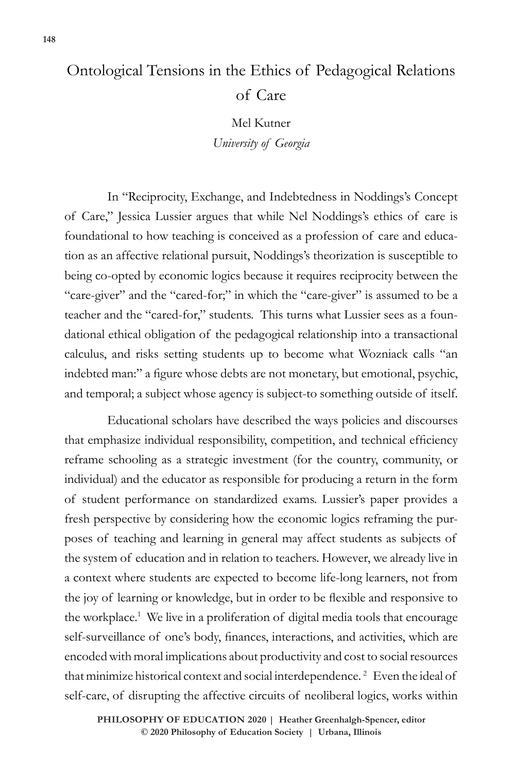## Ontological Tensions in the Ethics of Pedagogical Relations of Care

Mel Kutner *University of Georgia*

In "Reciprocity, Exchange, and Indebtedness in Noddings's Concept of Care," Jessica Lussier argues that while Nel Noddings's ethics of care is foundational to how teaching is conceived as a profession of care and education as an affective relational pursuit, Noddings's theorization is susceptible to being co-opted by economic logics because it requires reciprocity between the "care-giver" and the "cared-for;" in which the "care-giver" is assumed to be a teacher and the "cared-for," students. This turns what Lussier sees as a foundational ethical obligation of the pedagogical relationship into a transactional calculus, and risks setting students up to become what Wozniack calls "an indebted man:" a figure whose debts are not monetary, but emotional, psychic, and temporal; a subject whose agency is subject-to something outside of itself.

Educational scholars have described the ways policies and discourses that emphasize individual responsibility, competition, and technical efficiency reframe schooling as a strategic investment (for the country, community, or individual) and the educator as responsible for producing a return in the form of student performance on standardized exams. Lussier's paper provides a fresh perspective by considering how the economic logics reframing the purposes of teaching and learning in general may affect students as subjects of the system of education and in relation to teachers. However, we already live in a context where students are expected to become life-long learners, not from the joy of learning or knowledge, but in order to be flexible and responsive to the workplace.<sup>1</sup> We live in a proliferation of digital media tools that encourage self-surveillance of one's body, finances, interactions, and activities, which are encoded with moral implications about productivity and cost to social resources that minimize historical context and social interdependence.<sup>2</sup> Even the ideal of self-care, of disrupting the affective circuits of neoliberal logics, works within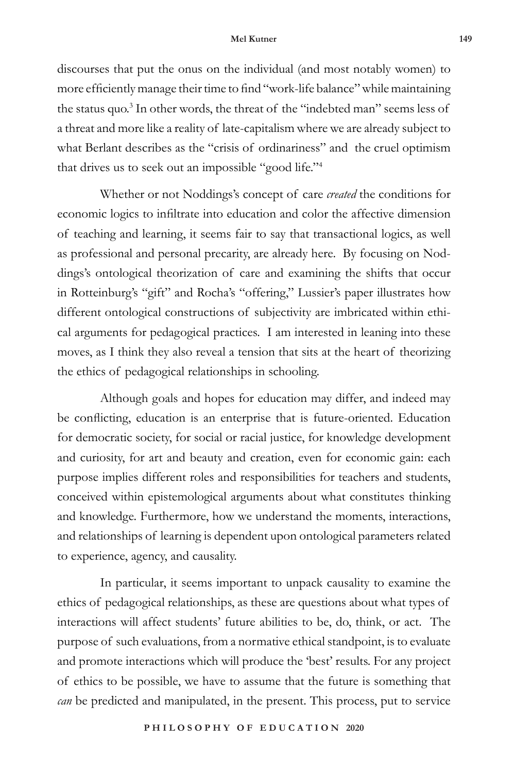## **Mel Kutner 149**

discourses that put the onus on the individual (and most notably women) to more efficiently manage their time to find "work-life balance" while maintaining the status quo.<sup>3</sup> In other words, the threat of the "indebted man" seems less of a threat and more like a reality of late-capitalism where we are already subject to what Berlant describes as the "crisis of ordinariness" and the cruel optimism that drives us to seek out an impossible "good life."4

Whether or not Noddings's concept of care *created* the conditions for economic logics to infiltrate into education and color the affective dimension of teaching and learning, it seems fair to say that transactional logics, as well as professional and personal precarity, are already here. By focusing on Noddings's ontological theorization of care and examining the shifts that occur in Rotteinburg's "gift" and Rocha's "offering," Lussier's paper illustrates how different ontological constructions of subjectivity are imbricated within ethical arguments for pedagogical practices. I am interested in leaning into these moves, as I think they also reveal a tension that sits at the heart of theorizing the ethics of pedagogical relationships in schooling.

Although goals and hopes for education may differ, and indeed may be conflicting, education is an enterprise that is future-oriented. Education for democratic society, for social or racial justice, for knowledge development and curiosity, for art and beauty and creation, even for economic gain: each purpose implies different roles and responsibilities for teachers and students, conceived within epistemological arguments about what constitutes thinking and knowledge. Furthermore, how we understand the moments, interactions, and relationships of learning is dependent upon ontological parameters related to experience, agency, and causality.

In particular, it seems important to unpack causality to examine the ethics of pedagogical relationships, as these are questions about what types of interactions will affect students' future abilities to be, do, think, or act. The purpose of such evaluations, from a normative ethical standpoint, is to evaluate and promote interactions which will produce the 'best' results. For any project of ethics to be possible, we have to assume that the future is something that *can* be predicted and manipulated, in the present. This process, put to service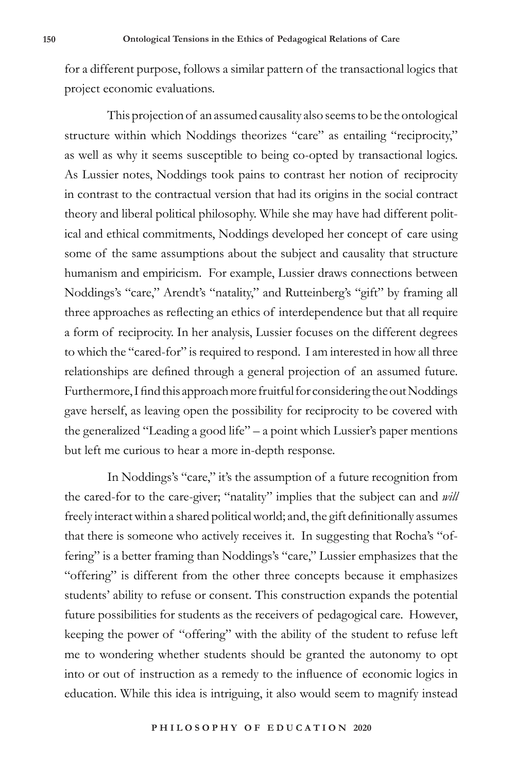for a different purpose, follows a similar pattern of the transactional logics that project economic evaluations.

This projection of an assumed causality also seems to be the ontological structure within which Noddings theorizes "care" as entailing "reciprocity," as well as why it seems susceptible to being co-opted by transactional logics. As Lussier notes, Noddings took pains to contrast her notion of reciprocity in contrast to the contractual version that had its origins in the social contract theory and liberal political philosophy. While she may have had different political and ethical commitments, Noddings developed her concept of care using some of the same assumptions about the subject and causality that structure humanism and empiricism. For example, Lussier draws connections between Noddings's "care," Arendt's "natality," and Rutteinberg's "gift" by framing all three approaches as reflecting an ethics of interdependence but that all require a form of reciprocity. In her analysis, Lussier focuses on the different degrees to which the "cared-for" is required to respond. I am interested in how all three relationships are defined through a general projection of an assumed future. Furthermore, I find this approach more fruitful for considering the out Noddings gave herself, as leaving open the possibility for reciprocity to be covered with the generalized "Leading a good life" – a point which Lussier's paper mentions but left me curious to hear a more in-depth response.

In Noddings's "care," it's the assumption of a future recognition from the cared-for to the care-giver; "natality" implies that the subject can and *will*  freely interact within a shared political world; and, the gift definitionally assumes that there is someone who actively receives it. In suggesting that Rocha's "offering" is a better framing than Noddings's "care," Lussier emphasizes that the "offering" is different from the other three concepts because it emphasizes students' ability to refuse or consent. This construction expands the potential future possibilities for students as the receivers of pedagogical care. However, keeping the power of "offering" with the ability of the student to refuse left me to wondering whether students should be granted the autonomy to opt into or out of instruction as a remedy to the influence of economic logics in education. While this idea is intriguing, it also would seem to magnify instead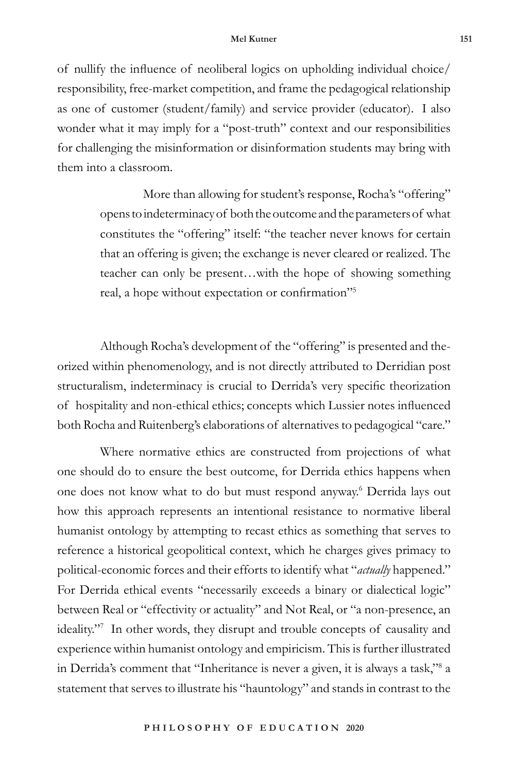of nullify the influence of neoliberal logics on upholding individual choice/ responsibility, free-market competition, and frame the pedagogical relationship as one of customer (student/family) and service provider (educator). I also wonder what it may imply for a "post-truth" context and our responsibilities for challenging the misinformation or disinformation students may bring with them into a classroom.

> More than allowing for student's response, Rocha's "offering" opens to indeterminacy of both the outcome and the parameters of what constitutes the "offering" itself: "the teacher never knows for certain that an offering is given; the exchange is never cleared or realized. The teacher can only be present…with the hope of showing something real, a hope without expectation or confirmation"<sup>5</sup>

Although Rocha's development of the "offering" is presented and theorized within phenomenology, and is not directly attributed to Derridian post structuralism, indeterminacy is crucial to Derrida's very specific theorization of hospitality and non-ethical ethics; concepts which Lussier notes influenced both Rocha and Ruitenberg's elaborations of alternatives to pedagogical "care."

Where normative ethics are constructed from projections of what one should do to ensure the best outcome, for Derrida ethics happens when one does not know what to do but must respond anyway.6 Derrida lays out how this approach represents an intentional resistance to normative liberal humanist ontology by attempting to recast ethics as something that serves to reference a historical geopolitical context, which he charges gives primacy to political-economic forces and their efforts to identify what "*actually* happened." For Derrida ethical events "necessarily exceeds a binary or dialectical logic" between Real or "effectivity or actuality" and Not Real, or "a non-presence, an ideality."7 In other words, they disrupt and trouble concepts of causality and experience within humanist ontology and empiricism. This is further illustrated in Derrida's comment that "Inheritance is never a given, it is always a task,"8 a statement that serves to illustrate his "hauntology" and stands in contrast to the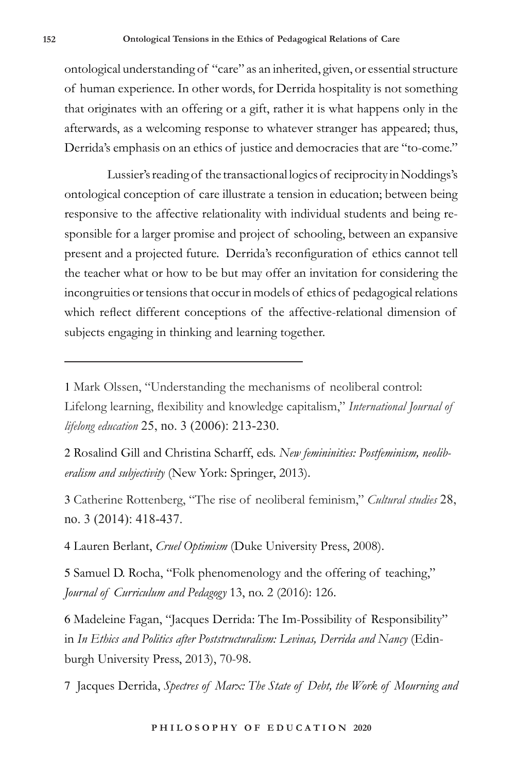ontological understanding of "care" as an inherited, given, or essential structure of human experience. In other words, for Derrida hospitality is not something that originates with an offering or a gift, rather it is what happens only in the afterwards, as a welcoming response to whatever stranger has appeared; thus, Derrida's emphasis on an ethics of justice and democracies that are "to-come."

Lussier's reading of the transactional logics of reciprocity in Noddings's ontological conception of care illustrate a tension in education; between being responsive to the affective relationality with individual students and being responsible for a larger promise and project of schooling, between an expansive present and a projected future. Derrida's reconfiguration of ethics cannot tell the teacher what or how to be but may offer an invitation for considering the incongruities or tensions that occur in models of ethics of pedagogical relations which reflect different conceptions of the affective-relational dimension of subjects engaging in thinking and learning together.

2 Rosalind Gill and Christina Scharff, eds. *New femininities: Postfeminism, neoliberalism and subjectivity* (New York: Springer, 2013).

3 Catherine Rottenberg, "The rise of neoliberal feminism," *Cultural studies* 28, no. 3 (2014): 418-437.

4 Lauren Berlant, *Cruel Optimism* (Duke University Press, 2008).

5 Samuel D. Rocha, "Folk phenomenology and the offering of teaching," *Journal of Curriculum and Pedagogy* 13, no. 2 (2016): 126.

6 Madeleine Fagan, "Jacques Derrida: The Im-Possibility of Responsibility" in *In Ethics and Politics after Poststructuralism: Levinas, Derrida and Nancy* (Edinburgh University Press, 2013), 70-98.

7 Jacques Derrida, *Spectres of Marx: The State of Debt, the Work of Mourning and* 

<sup>1</sup> Mark Olssen, "Understanding the mechanisms of neoliberal control: Lifelong learning, flexibility and knowledge capitalism," *International Journal of lifelong education* 25, no. 3 (2006): 213-230.